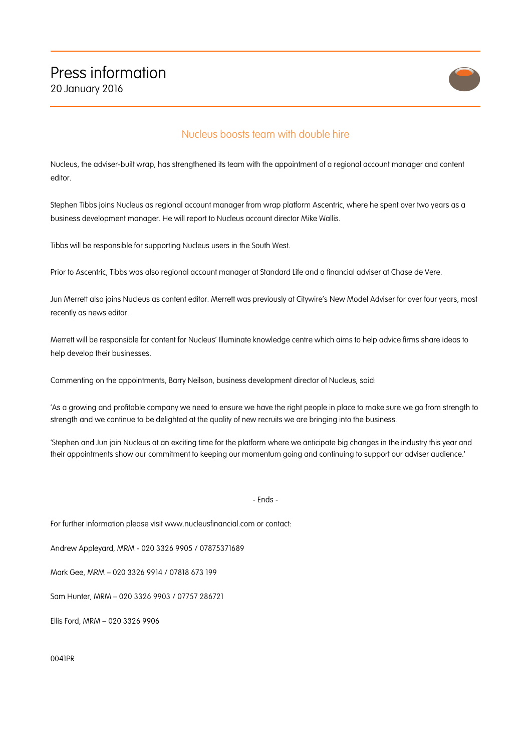

## Nucleus boosts team with double hire

Nucleus, the adviser-built wrap, has strengthened its team with the appointment of a regional account manager and content editor.

Stephen Tibbs joins Nucleus as regional account manager from wrap platform Ascentric, where he spent over two years as a business development manager. He will report to Nucleus account director Mike Wallis.

Tibbs will be responsible for supporting Nucleus users in the South West.

Prior to Ascentric, Tibbs was also regional account manager at Standard Life and a financial adviser at Chase de Vere.

Jun Merrett also joins Nucleus as content editor. Merrett was previously at Citywire's New Model Adviser for over four years, most recently as news editor.

Merrett will be responsible for content for Nucleus' Illuminate knowledge centre which aims to help advice firms share ideas to help develop their businesses.

Commenting on the appointments, Barry Neilson, business development director of Nucleus, said:

'As a growing and profitable company we need to ensure we have the right people in place to make sure we go from strength to strength and we continue to be delighted at the quality of new recruits we are bringing into the business.

'Stephen and Jun join Nucleus at an exciting time for the platform where we anticipate big changes in the industry this year and their appointments show our commitment to keeping our momentum going and continuing to support our adviser audience.'

- Ends -

For further information please visit www.nucleusfinancial.com or contact:

Andrew Appleyard, MRM - 020 3326 9905 / 07875371689

Mark Gee, MRM – 020 3326 9914 / 07818 673 199

Sam Hunter, MRM – 020 3326 9903 / 07757 286721

Ellis Ford, MRM – 020 3326 9906

0041PR